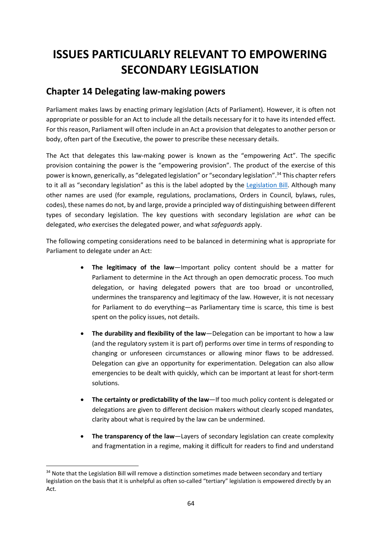# **ISSUES PARTICULARLY RELEVANT TO EMPOWERING SECONDARY LEGISLATION**

# **Chapter 14 Delegating law‐making powers**

Parliament makes laws by enacting primary legislation (Acts of Parliament). However, it is often not appropriate or possible for an Act to include all the details necessary for it to have its intended effect. For this reason, Parliament will often include in an Act a provision that delegates to another person or body, often part of the Executive, the power to prescribe these necessary details.

The Act that delegates this law‐making power is known as the "empowering Act". The specific provision containing the power is the "empowering provision". The product of the exercise of this power is known, generically, as "delegated legislation" or "secondary legislation".<sup>34</sup> This chapter refers to it all as "secondary legislation" as this is the label adopted by the Legislation Bill. Although many other names are used (for example, regulations, proclamations, Orders in Council, bylaws, rules, codes), these names do not, by and large, provide a principled way of distinguishing between different types of secondary legislation. The key questions with secondary legislation are *what* can be delegated, *who* exercises the delegated power, and what *safeguards* apply.

The following competing considerations need to be balanced in determining what is appropriate for Parliament to delegate under an Act:

- **The legitimacy of the law**—Important policy content should be a matter for Parliament to determine in the Act through an open democratic process. Too much delegation, or having delegated powers that are too broad or uncontrolled, undermines the transparency and legitimacy of the law. However, it is not necessary for Parliament to do everything—as Parliamentary time is scarce, this time is best spent on the policy issues, not details.
- **The durability and flexibility of the law**—Delegation can be important to how a law (and the regulatory system it is part of) performs over time in terms of responding to changing or unforeseen circumstances or allowing minor flaws to be addressed. Delegation can give an opportunity for experimentation. Delegation can also allow emergencies to be dealt with quickly, which can be important at least for short-term solutions.
- **The certainty or predictability of the law**—If too much policy content is delegated or delegations are given to different decision makers without clearly scoped mandates, clarity about what is required by the law can be undermined.
- **The transparency of the law**—Layers of secondary legislation can create complexity and fragmentation in a regime, making it difficult for readers to find and understand

 <sup>34</sup> Note that the Legislation Bill will remove a distinction sometimes made between secondary and tertiary legislation on the basis that it is unhelpful as often so-called "tertiary" legislation is empowered directly by an Act.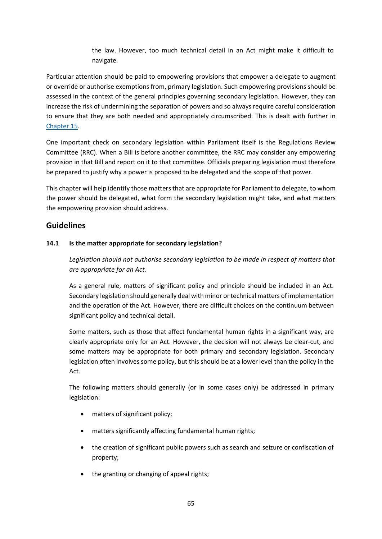the law. However, too much technical detail in an Act might make it difficult to navigate.

Particular attention should be paid to empowering provisions that empower a delegate to augment or override or authorise exemptions from, primary legislation. Such empowering provisions should be assessed in the context of the general principles governing secondary legislation. However, they can increase the risk of undermining the separation of powers and so always require careful consideration to ensure that they are both needed and appropriately circumscribed. This is dealt with further in Chapter 15.

One important check on secondary legislation within Parliament itself is the Regulations Review Committee (RRC). When a Bill is before another committee, the RRC may consider any empowering provision in that Bill and report on it to that committee. Officials preparing legislation must therefore be prepared to justify why a power is proposed to be delegated and the scope of that power.

This chapter will help identify those matters that are appropriate for Parliament to delegate, to whom the power should be delegated, what form the secondary legislation might take, and what matters the empowering provision should address.

### **Guidelines**

#### **14.1 Is the matter appropriate for secondary legislation?**

*Legislation should not authorise secondary legislation to be made in respect of matters that are appropriate for an Act.*

As a general rule, matters of significant policy and principle should be included in an Act. Secondary legislation should generally deal with minor or technical matters of implementation and the operation of the Act. However, there are difficult choices on the continuum between significant policy and technical detail.

Some matters, such as those that affect fundamental human rights in a significant way, are clearly appropriate only for an Act. However, the decision will not always be clear‐cut, and some matters may be appropriate for both primary and secondary legislation. Secondary legislation often involves some policy, but this should be at a lower level than the policy in the Act.

The following matters should generally (or in some cases only) be addressed in primary legislation:

- matters of significant policy;
- matters significantly affecting fundamental human rights;
- the creation of significant public powers such as search and seizure or confiscation of property;
- the granting or changing of appeal rights;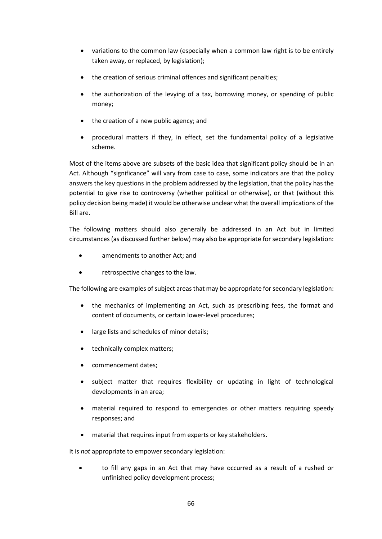- variations to the common law (especially when a common law right is to be entirely taken away, or replaced, by legislation);
- the creation of serious criminal offences and significant penalties;
- the authorization of the levying of a tax, borrowing money, or spending of public money;
- the creation of a new public agency; and
- procedural matters if they, in effect, set the fundamental policy of a legislative scheme.

Most of the items above are subsets of the basic idea that significant policy should be in an Act. Although "significance" will vary from case to case, some indicators are that the policy answers the key questions in the problem addressed by the legislation, that the policy has the potential to give rise to controversy (whether political or otherwise), or that (without this policy decision being made) it would be otherwise unclear what the overall implications of the Bill are.

The following matters should also generally be addressed in an Act but in limited circumstances (as discussed further below) may also be appropriate for secondary legislation:

- amendments to another Act; and
- retrospective changes to the law.

The following are examples of subject areas that may be appropriate for secondary legislation:

- the mechanics of implementing an Act, such as prescribing fees, the format and content of documents, or certain lower‐level procedures;
- large lists and schedules of minor details;
- technically complex matters;
- commencement dates;
- subject matter that requires flexibility or updating in light of technological developments in an area;
- material required to respond to emergencies or other matters requiring speedy responses; and
- material that requires input from experts or key stakeholders.

It is *not* appropriate to empower secondary legislation:

 to fill any gaps in an Act that may have occurred as a result of a rushed or unfinished policy development process;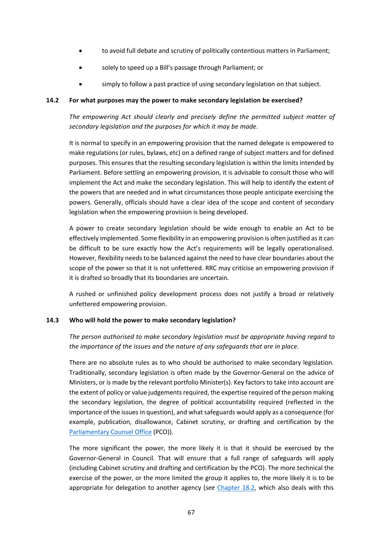- to avoid full debate and scrutiny of politically contentious matters in Parliament;
- solely to speed up a Bill's passage through Parliament; or
- simply to follow a past practice of using secondary legislation on that subject.

#### **14.2 For what purposes may the power to make secondary legislation be exercised?**

*The empowering Act should clearly and precisely define the permitted subject matter of secondary legislation and the purposes for which it may be made.*

It is normal to specify in an empowering provision that the named delegate is empowered to make regulations (or rules, bylaws, etc) on a defined range of subject matters and for defined purposes. This ensures that the resulting secondary legislation is within the limits intended by Parliament. Before settling an empowering provision, it is advisable to consult those who will implement the Act and make the secondary legislation. This will help to identify the extent of the powers that are needed and in what circumstances those people anticipate exercising the powers. Generally, officials should have a clear idea of the scope and content of secondary legislation when the empowering provision is being developed.

A power to create secondary legislation should be wide enough to enable an Act to be effectively implemented. Some flexibility in an empowering provision is often justified as it can be difficult to be sure exactly how the Act's requirements will be legally operationalised. However, flexibility needs to be balanced against the need to have clear boundaries about the scope of the power so that it is not unfettered. RRC may criticise an empowering provision if it is drafted so broadly that its boundaries are uncertain.

A rushed or unfinished policy development process does not justify a broad or relatively unfettered empowering provision.

#### **14.3 Who will hold the power to make secondary legislation?**

*The person authorised to make secondary legislation must be appropriate having regard to the importance of the issues and the nature of any safeguards that are in place.*

There are no absolute rules as to who should be authorised to make secondary legislation. Traditionally, secondary legislation is often made by the Governor‐General on the advice of Ministers, or is made by the relevant portfolio Minister(s). Key factors to take into account are the extent of policy or value judgements required, the expertise required of the person making the secondary legislation, the degree of political accountability required (reflected in the importance of the issues in question), and what safeguards would apply as a consequence (for example, publication, disallowance, Cabinet scrutiny, or drafting and certification by the Parliamentary Counsel Office (PCO)).

The more significant the power, the more likely it is that it should be exercised by the Governor‐General in Council. That will ensure that a full range of safeguards will apply (including Cabinet scrutiny and drafting and certification by the PCO). The more technical the exercise of the power, or the more limited the group it applies to, the more likely it is to be appropriate for delegation to another agency (*see* Chapter 18.2, which also deals with this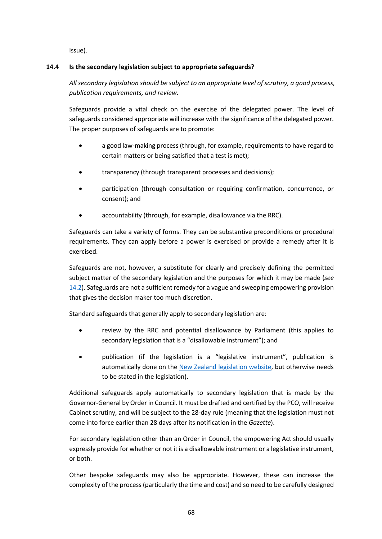issue).

#### **14.4 Is the secondary legislation subject to appropriate safeguards?**

*All secondary legislation should be subject to an appropriate level of scrutiny, a good process, publication requirements, and review.*

Safeguards provide a vital check on the exercise of the delegated power. The level of safeguards considered appropriate will increase with the significance of the delegated power. The proper purposes of safeguards are to promote:

- a good law-making process (through, for example, requirements to have regard to certain matters or being satisfied that a test is met);
- transparency (through transparent processes and decisions);
- participation (through consultation or requiring confirmation, concurrence, or consent); and
- accountability (through, for example, disallowance via the RRC).

Safeguards can take a variety of forms. They can be substantive preconditions or procedural requirements. They can apply before a power is exercised or provide a remedy after it is exercised.

Safeguards are not, however, a substitute for clearly and precisely defining the permitted subject matter of the secondary legislation and the purposes for which it may be made (*see* 14.2). Safeguards are not a sufficient remedy for a vague and sweeping empowering provision that gives the decision maker too much discretion.

Standard safeguards that generally apply to secondary legislation are:

- review by the RRC and potential disallowance by Parliament (this applies to secondary legislation that is a "disallowable instrument"); and
- publication (if the legislation is a "legislative instrument", publication is automatically done on the New Zealand legislation website, but otherwise needs to be stated in the legislation).

Additional safeguards apply automatically to secondary legislation that is made by the Governor‐General by Order in Council. It must be drafted and certified by the PCO, will receive Cabinet scrutiny, and will be subject to the 28‐day rule (meaning that the legislation must not come into force earlier than 28 days after its notification in the *Gazette*).

For secondary legislation other than an Order in Council, the empowering Act should usually expressly provide for whether or not it is a disallowable instrument or a legislative instrument, or both.

Other bespoke safeguards may also be appropriate. However, these can increase the complexity of the process(particularly the time and cost) and so need to be carefully designed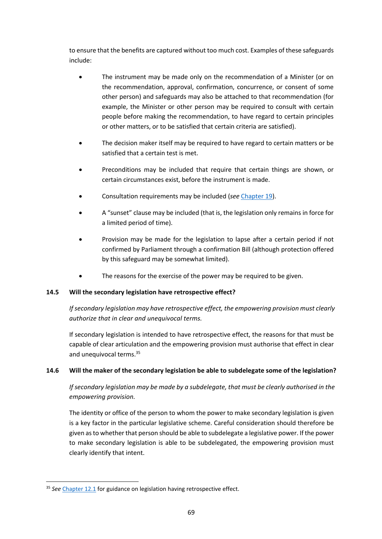to ensure that the benefits are captured without too much cost. Examples of these safeguards include:

- The instrument may be made only on the recommendation of a Minister (or on the recommendation, approval, confirmation, concurrence, or consent of some other person) and safeguards may also be attached to that recommendation (for example, the Minister or other person may be required to consult with certain people before making the recommendation, to have regard to certain principles or other matters, or to be satisfied that certain criteria are satisfied).
- The decision maker itself may be required to have regard to certain matters or be satisfied that a certain test is met.
- Preconditions may be included that require that certain things are shown, or certain circumstances exist, before the instrument is made.
- Consultation requirements may be included (*see* Chapter 19).
- A "sunset" clause may be included (that is, the legislation only remains in force for a limited period of time).
- Provision may be made for the legislation to lapse after a certain period if not confirmed by Parliament through a confirmation Bill (although protection offered by this safeguard may be somewhat limited).
- The reasons for the exercise of the power may be required to be given.

#### **14.5 Will the secondary legislation have retrospective effect?**

*Ifsecondary legislation may have retrospective effect, the empowering provision must clearly authorize that in clear and unequivocal terms.*

If secondary legislation is intended to have retrospective effect, the reasons for that must be capable of clear articulation and the empowering provision must authorise that effect in clear and unequivocal terms.<sup>35</sup>

#### **14.6 Will the maker of the secondary legislation be able to subdelegate some of the legislation?**

*If secondary legislation may be made by a subdelegate, that must be clearly authorised in the empowering provision.*

The identity or office of the person to whom the power to make secondary legislation is given is a key factor in the particular legislative scheme. Careful consideration should therefore be given asto whether that person should be able to subdelegate a legislative power. If the power to make secondary legislation is able to be subdelegated, the empowering provision must clearly identify that intent.

 <sup>35</sup> *See* Chapter 12.1 for guidance on legislation having retrospective effect.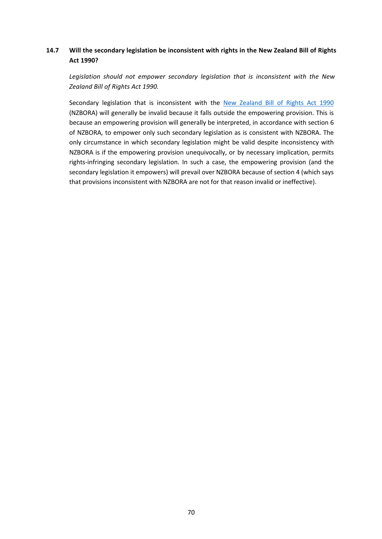### **14.7 Will the secondary legislation be inconsistent with rights in the New Zealand Bill of Rights Act 1990?**

*Legislation should not empower secondary legislation that is inconsistent with the New Zealand Bill of Rights Act 1990.*

Secondary legislation that is inconsistent with the New Zealand Bill of Rights Act 1990 (NZBORA) will generally be invalid because it falls outside the empowering provision. This is because an empowering provision will generally be interpreted, in accordance with section 6 of NZBORA, to empower only such secondary legislation as is consistent with NZBORA. The only circumstance in which secondary legislation might be valid despite inconsistency with NZBORA is if the empowering provision unequivocally, or by necessary implication, permits rights‐infringing secondary legislation. In such a case, the empowering provision (and the secondary legislation it empowers) will prevail over NZBORA because of section 4 (which says that provisions inconsistent with NZBORA are not for that reason invalid or ineffective).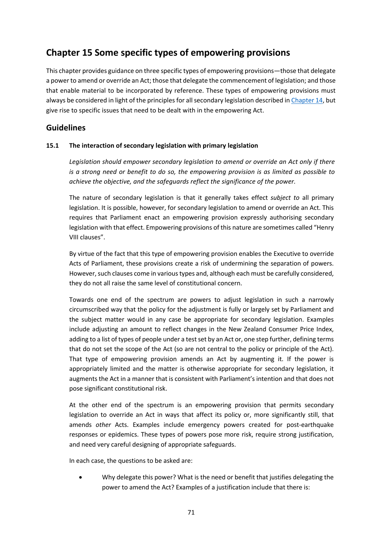# **Chapter 15 Some specific types of empowering provisions**

This chapter provides guidance on three specific types of empowering provisions—those that delegate a power to amend or override an Act; those that delegate the commencement of legislation; and those that enable material to be incorporated by reference. These types of empowering provisions must always be considered in light of the principles for all secondary legislation described in Chapter 14, but give rise to specific issues that need to be dealt with in the empowering Act.

## **Guidelines**

#### **15.1 The interaction of secondary legislation with primary legislation**

*Legislation should empower secondary legislation to amend or override an Act only if there is a strong need or benefit to do so, the empowering provision is as limited as possible to achieve the objective, and the safeguards reflect the significance of the power.*

The nature of secondary legislation is that it generally takes effect *subject to* all primary legislation. It is possible, however, for secondary legislation to amend or override an Act. This requires that Parliament enact an empowering provision expressly authorising secondary legislation with that effect. Empowering provisions of this nature are sometimes called "Henry VIII clauses".

By virtue of the fact that this type of empowering provision enables the Executive to override Acts of Parliament, these provisions create a risk of undermining the separation of powers. However, such clauses come in various types and, although each must be carefully considered, they do not all raise the same level of constitutional concern.

Towards one end of the spectrum are powers to adjust legislation in such a narrowly circumscribed way that the policy for the adjustment is fully or largely set by Parliament and the subject matter would in any case be appropriate for secondary legislation. Examples include adjusting an amount to reflect changes in the New Zealand Consumer Price Index, adding to a list of types of people under a test set by an Act or, one step further, defining terms that do not set the scope of the Act (so are not central to the policy or principle of the Act). That type of empowering provision amends an Act by augmenting it. If the power is appropriately limited and the matter is otherwise appropriate for secondary legislation, it augments the Act in a manner that is consistent with Parliament's intention and that does not pose significant constitutional risk.

At the other end of the spectrum is an empowering provision that permits secondary legislation to override an Act in ways that affect its policy or, more significantly still, that amends *other* Acts. Examples include emergency powers created for post-earthquake responses or epidemics. These types of powers pose more risk, require strong justification, and need very careful designing of appropriate safeguards.

In each case, the questions to be asked are:

 Why delegate this power? What is the need or benefit that justifies delegating the power to amend the Act? Examples of a justification include that there is: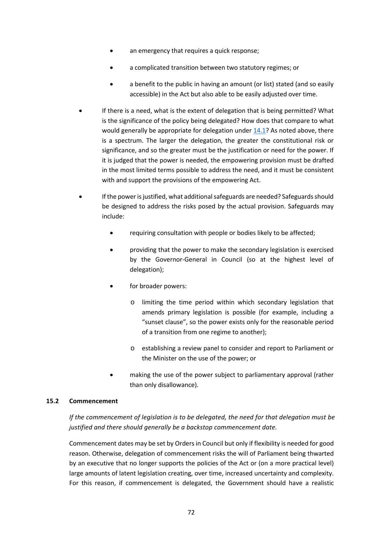- an emergency that requires a quick response;
- a complicated transition between two statutory regimes; or
- a benefit to the public in having an amount (or list) stated (and so easily accessible) in the Act but also able to be easily adjusted over time.
- If there is a need, what is the extent of delegation that is being permitted? What is the significance of the policy being delegated? How does that compare to what would generally be appropriate for delegation under 14.1? As noted above, there is a spectrum. The larger the delegation, the greater the constitutional risk or significance, and so the greater must be the justification or need for the power. If it is judged that the power is needed, the empowering provision must be drafted in the most limited terms possible to address the need, and it must be consistent with and support the provisions of the empowering Act.
- If the power is justified, what additional safeguards are needed? Safeguards should be designed to address the risks posed by the actual provision. Safeguards may include:
	- requiring consultation with people or bodies likely to be affected;
	- providing that the power to make the secondary legislation is exercised by the Governor‐General in Council (so at the highest level of delegation);
	- for broader powers:
		- o limiting the time period within which secondary legislation that amends primary legislation is possible (for example, including a "sunset clause", so the power exists only for the reasonable period of a transition from one regime to another);
		- o establishing a review panel to consider and report to Parliament or the Minister on the use of the power; or
	- making the use of the power subject to parliamentary approval (rather than only disallowance).

#### **15.2 Commencement**

*If the commencement of legislation is to be delegated, the need for that delegation must be justified and there should generally be a backstop commencement date.*

Commencement dates may be set by Ordersin Council but only if flexibility is needed for good reason. Otherwise, delegation of commencement risks the will of Parliament being thwarted by an executive that no longer supports the policies of the Act or (on a more practical level) large amounts of latent legislation creating, over time, increased uncertainty and complexity. For this reason, if commencement is delegated, the Government should have a realistic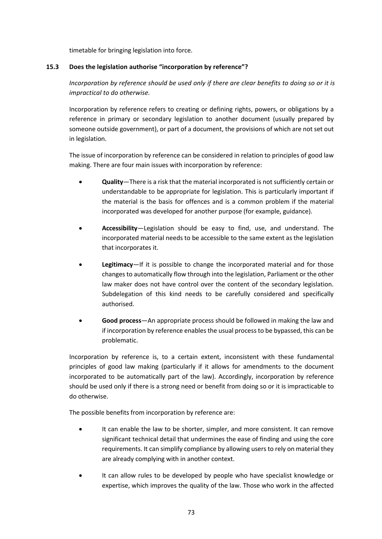timetable for bringing legislation into force.

#### **15.3 Does the legislation authorise "incorporation by reference"?**

*Incorporation by reference should be used only if there are clear benefits to doing so or it is impractical to do otherwise.*

Incorporation by reference refers to creating or defining rights, powers, or obligations by a reference in primary or secondary legislation to another document (usually prepared by someone outside government), or part of a document, the provisions of which are not set out in legislation.

The issue of incorporation by reference can be considered in relation to principles of good law making. There are four main issues with incorporation by reference:

- **Quality**—There is a risk that the material incorporated is not sufficiently certain or understandable to be appropriate for legislation. This is particularly important if the material is the basis for offences and is a common problem if the material incorporated was developed for another purpose (for example, guidance).
- **Accessibility**—Legislation should be easy to find, use, and understand. The incorporated material needs to be accessible to the same extent as the legislation that incorporates it.
- **Legitimacy**—If it is possible to change the incorporated material and for those changes to automatically flow through into the legislation, Parliament or the other law maker does not have control over the content of the secondary legislation. Subdelegation of this kind needs to be carefully considered and specifically authorised.
- **Good process**—An appropriate process should be followed in making the law and if incorporation by reference enables the usual process to be bypassed, this can be problematic.

Incorporation by reference is, to a certain extent, inconsistent with these fundamental principles of good law making (particularly if it allows for amendments to the document incorporated to be automatically part of the law). Accordingly, incorporation by reference should be used only if there is a strong need or benefit from doing so or it is impracticable to do otherwise.

The possible benefits from incorporation by reference are:

- It can enable the law to be shorter, simpler, and more consistent. It can remove significant technical detail that undermines the ease of finding and using the core requirements. It can simplify compliance by allowing usersto rely on material they are already complying with in another context.
- It can allow rules to be developed by people who have specialist knowledge or expertise, which improves the quality of the law. Those who work in the affected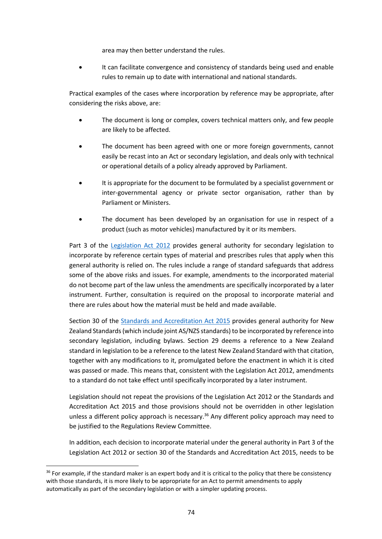area may then better understand the rules.

 It can facilitate convergence and consistency of standards being used and enable rules to remain up to date with international and national standards.

Practical examples of the cases where incorporation by reference may be appropriate, after considering the risks above, are:

- The document is long or complex, covers technical matters only, and few people are likely to be affected.
- The document has been agreed with one or more foreign governments, cannot easily be recast into an Act or secondary legislation, and deals only with technical or operational details of a policy already approved by Parliament.
- It is appropriate for the document to be formulated by a specialist government or inter-governmental agency or private sector organisation, rather than by Parliament or Ministers.
- The document has been developed by an organisation for use in respect of a product (such as motor vehicles) manufactured by it or its members.

Part 3 of the Legislation Act 2012 provides general authority for secondary legislation to incorporate by reference certain types of material and prescribes rules that apply when this general authority is relied on. The rules include a range of standard safeguards that address some of the above risks and issues. For example, amendments to the incorporated material do not become part of the law unless the amendments are specifically incorporated by a later instrument. Further, consultation is required on the proposal to incorporate material and there are rules about how the material must be held and made available.

Section 30 of the Standards and Accreditation Act 2015 provides general authority for New Zealand Standards(which include joint AS/NZS standards) to be incorporated by reference into secondary legislation, including bylaws. Section 29 deems a reference to a New Zealand standard in legislation to be a reference to the latest New Zealand Standard with that citation, together with any modifications to it, promulgated before the enactment in which it is cited was passed or made. This means that, consistent with the Legislation Act 2012, amendments to a standard do not take effect until specifically incorporated by a later instrument.

Legislation should not repeat the provisions of the Legislation Act 2012 or the Standards and Accreditation Act 2015 and those provisions should not be overridden in other legislation unless a different policy approach is necessary.<sup>36</sup> Any different policy approach may need to be justified to the Regulations Review Committee.

In addition, each decision to incorporate material under the general authority in Part 3 of the Legislation Act 2012 or section 30 of the Standards and Accreditation Act 2015, needs to be

<sup>&</sup>lt;sup>36</sup> For example, if the standard maker is an expert body and it is critical to the policy that there be consistency with those standards, it is more likely to be appropriate for an Act to permit amendments to apply automatically as part of the secondary legislation or with a simpler updating process.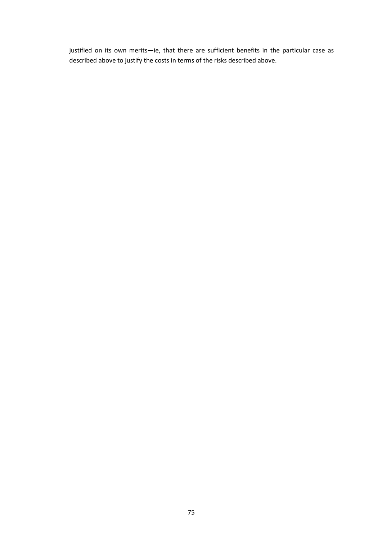justified on its own merits—ie, that there are sufficient benefits in the particular case as described above to justify the costs in terms of the risks described above.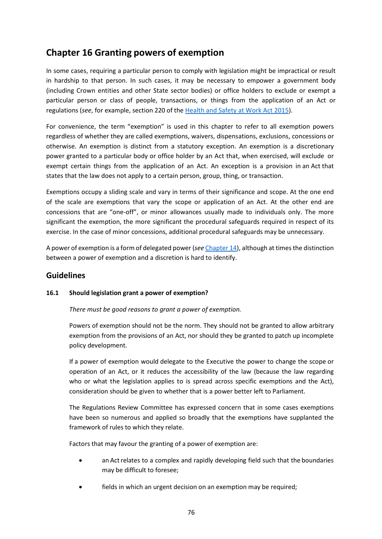# **Chapter 16 Granting powers of exemption**

In some cases, requiring a particular person to comply with legislation might be impractical or result in hardship to that person. In such cases, it may be necessary to empower a government body (including Crown entities and other State sector bodies) or office holders to exclude or exempt a particular person or class of people, transactions, or things from the application of an Act or regulations (*see*, for example, section 220 of the Health and Safety at Work Act 2015).

For convenience, the term "exemption" is used in this chapter to refer to all exemption powers regardless of whether they are called exemptions, waivers, dispensations, exclusions, concessions or otherwise. An exemption is distinct from a statutory exception. An exemption is a discretionary power granted to a particular body or office holder by an Act that, when exercised, will exclude or exempt certain things from the application of an Act. An exception is a provision in an Act that states that the law does not apply to a certain person, group, thing, or transaction.

Exemptions occupy a sliding scale and vary in terms of their significance and scope. At the one end of the scale are exemptions that vary the scope or application of an Act. At the other end are concessions that are "one‐off", or minor allowances usually made to individuals only. The more significant the exemption, the more significant the procedural safeguards required in respect of its exercise. In the case of minor concessions, additional procedural safeguards may be unnecessary.

A power of exemption is a form of delegated power (*see* Chapter 14), although at timesthe distinction between a power of exemption and a discretion is hard to identify.

## **Guidelines**

#### **16.1 Should legislation grant a power of exemption?**

*There must be good reasons to grant a power of exemption.*

Powers of exemption should not be the norm. They should not be granted to allow arbitrary exemption from the provisions of an Act, nor should they be granted to patch up incomplete policy development.

If a power of exemption would delegate to the Executive the power to change the scope or operation of an Act, or it reduces the accessibility of the law (because the law regarding who or what the legislation applies to is spread across specific exemptions and the Act), consideration should be given to whether that is a power better left to Parliament.

The Regulations Review Committee has expressed concern that in some cases exemptions have been so numerous and applied so broadly that the exemptions have supplanted the framework of rules to which they relate.

Factors that may favour the granting of a power of exemption are:

- an Actrelates to a complex and rapidly developing field such that the boundaries may be difficult to foresee;
- fields in which an urgent decision on an exemption may be required;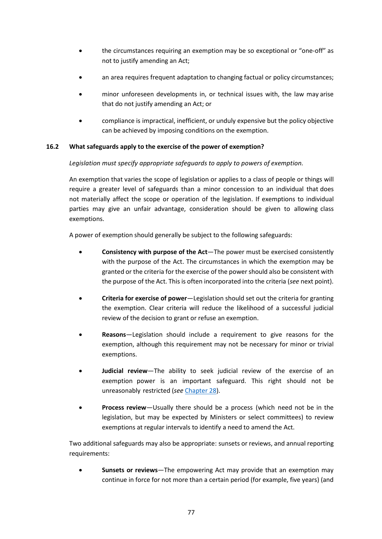- the circumstances requiring an exemption may be so exceptional or "one‐off" as not to justify amending an Act;
- an area requires frequent adaptation to changing factual or policy circumstances;
- minor unforeseen developments in, or technical issues with, the law may arise that do not justify amending an Act; or
- compliance is impractical, inefficient, or unduly expensive but the policy objective can be achieved by imposing conditions on the exemption.

#### **16.2 What safeguards apply to the exercise of the power of exemption?**

#### *Legislation must specify appropriate safeguards to apply to powers of exemption.*

An exemption that varies the scope of legislation or applies to a class of people or things will require a greater level of safeguards than a minor concession to an individual that does not materially affect the scope or operation of the legislation. If exemptions to individual parties may give an unfair advantage, consideration should be given to allowing class exemptions.

A power of exemption should generally be subject to the following safeguards:

- **Consistency with purpose of the Act**—The power must be exercised consistently with the purpose of the Act. The circumstances in which the exemption may be granted or the criteria for the exercise of the power should also be consistent with the purpose of the Act. This is often incorporated into the criteria (*see* next point).
- **Criteria for exercise of power**—Legislation should set out the criteria for granting the exemption. Clear criteria will reduce the likelihood of a successful judicial review of the decision to grant or refuse an exemption.
- **Reasons**—Legislation should include a requirement to give reasons for the exemption, although this requirement may not be necessary for minor or trivial exemptions.
- **Judicial review**—The ability to seek judicial review of the exercise of an exemption power is an important safeguard. This right should not be unreasonably restricted (*see* Chapter 28).
- **Process review**—Usually there should be a process (which need not be in the legislation, but may be expected by Ministers or select committees) to review exemptions at regular intervals to identify a need to amend the Act.

Two additional safeguards may also be appropriate: sunsets or reviews, and annual reporting requirements:

 **Sunsets or reviews**—The empowering Act may provide that an exemption may continue in force for not more than a certain period (for example, five years) (and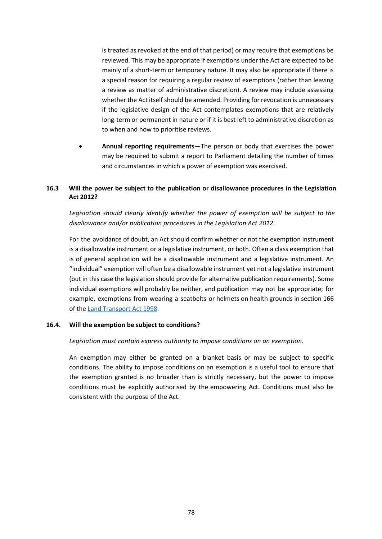is treated as revoked at the end of that period) or may require that exemptions be reviewed. This may be appropriate if exemptions under the Act are expected to be mainly of a short-term or temporary nature. It may also be appropriate if there is a special reason for requiring a regular review of exemptions (rather than leaving a review as matter of administrative discretion). A review may include assessing whether the Act itself should be amended. Providing for revocation is unnecessary if the legislative design of the Act contemplates exemptions that are relatively long-term or permanent in nature or if it is best left to administrative discretion as to when and how to prioritise reviews.

 **Annual reporting requirements**—The person or body that exercises the power may be required to submit a report to Parliament detailing the number of times and circumstances in which a power of exemption was exercised.

#### **16.3 Will the power be subject to the publication or disallowance procedures in the Legislation Act 2012?**

*Legislation should clearly identify whether the power of exemption will be subject to the disallowance and/or publication procedures in the Legislation Act 2012.*

For the avoidance of doubt, an Act should confirm whether or not the exemption instrument is a disallowable instrument or a legislative instrument, or both. Often a class exemption that is of general application will be a disallowable instrument and a legislative instrument. An "individual" exemption will often be a disallowable instrument yet not a legislative instrument (but in this case the legislation should provide for alternative publication requirements). Some individual exemptions will probably be neither, and publication may not be appropriate; for example, exemptions from wearing a seatbelts or helmets on health grounds in section 166 of the Land Transport Act 1998.

#### **16.4. Will the exemption be subject to conditions?**

#### *Legislation must contain express authority to impose conditions on an exemption.*

An exemption may either be granted on a blanket basis or may be subject to specific conditions. The ability to impose conditions on an exemption is a useful tool to ensure that the exemption granted is no broader than is strictly necessary, but the power to impose conditions must be explicitly authorised by the empowering Act. Conditions must also be consistent with the purpose of the Act.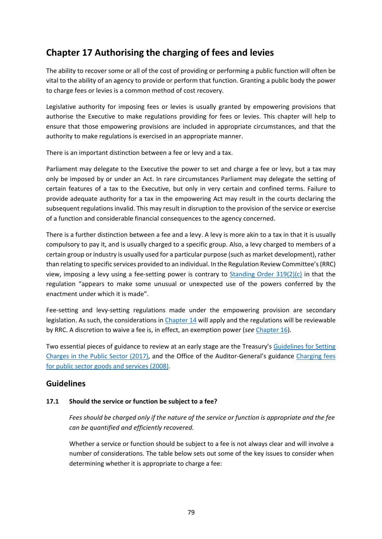# **Chapter 17 Authorising the charging of fees and levies**

The ability to recover some or all of the cost of providing or performing a public function will often be vital to the ability of an agency to provide or perform that function. Granting a public body the power to charge fees or levies is a common method of cost recovery.

Legislative authority for imposing fees or levies is usually granted by empowering provisions that authorise the Executive to make regulations providing for fees or levies. This chapter will help to ensure that those empowering provisions are included in appropriate circumstances, and that the authority to make regulations is exercised in an appropriate manner.

There is an important distinction between a fee or levy and a tax.

Parliament may delegate to the Executive the power to set and charge a fee or levy, but a tax may only be imposed by or under an Act. In rare circumstances Parliament may delegate the setting of certain features of a tax to the Executive, but only in very certain and confined terms. Failure to provide adequate authority for a tax in the empowering Act may result in the courts declaring the subsequent regulations invalid. This may result in disruption to the provision of the service or exercise of a function and considerable financial consequences to the agency concerned.

There is a further distinction between a fee and a levy. A levy is more akin to a tax in that it is usually compulsory to pay it, and is usually charged to a specific group. Also, a levy charged to members of a certain group or industry is usually used for a particular purpose (such as market development), rather than relating to specific services provided to an individual. In the Regulation Review Committee's(RRC) view, imposing a levy using a fee-setting power is contrary to Standing Order 319(2)(c) in that the regulation "appears to make some unusual or unexpected use of the powers conferred by the enactment under which it is made".

Fee-setting and levy-setting regulations made under the empowering provision are secondary legislation. As such, the considerations in *Chapter 14* will apply and the regulations will be reviewable by RRC. A discretion to waive a fee is, in effect, an exemption power (*see* Chapter 16).

Two essential pieces of guidance to review at an early stage are the Treasury's Guidelines for Setting Charges in the Public Sector (2017), and the Office of the Auditor‐General's guidance Charging fees for public sector goods and services (2008).

## **Guidelines**

#### **17.1 Should the service or function be subject to a fee?**

*Fees should be charged only if the nature of the service or function is appropriate and the fee can be quantified and efficiently recovered.*

Whether a service or function should be subject to a fee is not always clear and will involve a number of considerations. The table below sets out some of the key issues to consider when determining whether it is appropriate to charge a fee: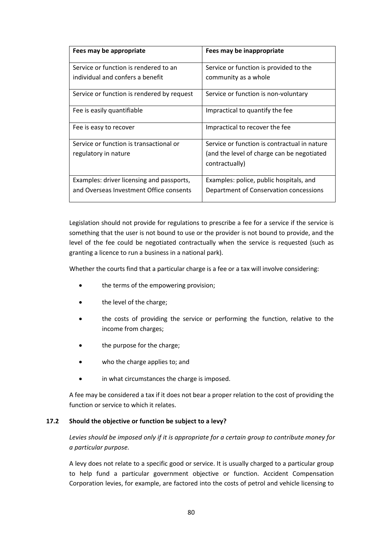| Fees may be appropriate                                                   | Fees may be inappropriate                                      |
|---------------------------------------------------------------------------|----------------------------------------------------------------|
| Service or function is rendered to an<br>individual and confers a benefit | Service or function is provided to the<br>community as a whole |
| Service or function is rendered by request                                | Service or function is non-voluntary                           |
| Fee is easily quantifiable                                                | Impractical to quantify the fee                                |
| Fee is easy to recover                                                    | Impractical to recover the fee                                 |
| Service or function is transactional or                                   | Service or function is contractual in nature                   |
| regulatory in nature                                                      | (and the level of charge can be negotiated<br>contractually)   |
| Examples: driver licensing and passports,                                 | Examples: police, public hospitals, and                        |
| and Overseas Investment Office consents                                   | Department of Conservation concessions                         |

Legislation should not provide for regulations to prescribe a fee for a service if the service is something that the user is not bound to use or the provider is not bound to provide, and the level of the fee could be negotiated contractually when the service is requested (such as granting a licence to run a business in a national park).

Whether the courts find that a particular charge is a fee or a tax will involve considering:

- the terms of the empowering provision;
- the level of the charge;
- the costs of providing the service or performing the function, relative to the income from charges;
- the purpose for the charge;
- who the charge applies to; and
- in what circumstances the charge is imposed.

A fee may be considered a tax if it does not bear a proper relation to the cost of providing the function or service to which it relates.

#### **17.2 Should the objective or function be subject to a levy?**

*Levies should be imposed only if it is appropriate for a certain group to contribute money for a particular purpose.*

A levy does not relate to a specific good or service. It is usually charged to a particular group to help fund a particular government objective or function. Accident Compensation Corporation levies, for example, are factored into the costs of petrol and vehicle licensing to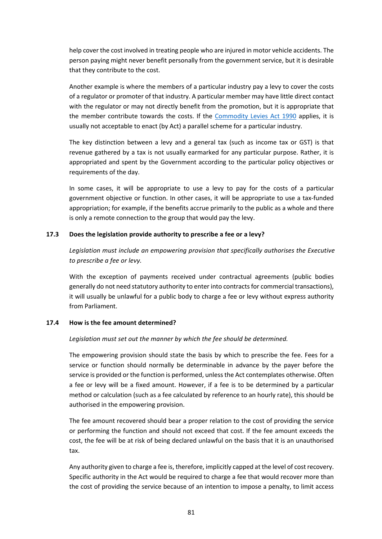help cover the cost involved in treating people who are injured in motor vehicle accidents. The person paying might never benefit personally from the government service, but it is desirable that they contribute to the cost.

Another example is where the members of a particular industry pay a levy to cover the costs of a regulator or promoter of that industry. A particular member may have little direct contact with the regulator or may not directly benefit from the promotion, but it is appropriate that the member contribute towards the costs. If the Commodity Levies Act 1990 applies, it is usually not acceptable to enact (by Act) a parallel scheme for a particular industry.

The key distinction between a levy and a general tax (such as income tax or GST) is that revenue gathered by a tax is not usually earmarked for any particular purpose. Rather, it is appropriated and spent by the Government according to the particular policy objectives or requirements of the day.

In some cases, it will be appropriate to use a levy to pay for the costs of a particular government objective or function. In other cases, it will be appropriate to use a tax‐funded appropriation; for example, if the benefits accrue primarily to the public as a whole and there is only a remote connection to the group that would pay the levy.

#### **17.3 Does the legislation provide authority to prescribe a fee or a levy?**

*Legislation must include an empowering provision that specifically authorises the Executive to prescribe a fee or levy.*

With the exception of payments received under contractual agreements (public bodies generally do not need statutory authority to enter into contractsfor commercial transactions), it will usually be unlawful for a public body to charge a fee or levy without express authority from Parliament.

#### **17.4 How is the fee amount determined?**

#### *Legislation must set out the manner by which the fee should be determined.*

The empowering provision should state the basis by which to prescribe the fee. Fees for a service or function should normally be determinable in advance by the payer before the service is provided or the function is performed, unlessthe Act contemplates otherwise. Often a fee or levy will be a fixed amount. However, if a fee is to be determined by a particular method or calculation (such as a fee calculated by reference to an hourly rate), this should be authorised in the empowering provision.

The fee amount recovered should bear a proper relation to the cost of providing the service or performing the function and should not exceed that cost. If the fee amount exceeds the cost, the fee will be at risk of being declared unlawful on the basis that it is an unauthorised tax.

Any authority given to charge a fee is, therefore, implicitly capped at the level of costrecovery. Specific authority in the Act would be required to charge a fee that would recover more than the cost of providing the service because of an intention to impose a penalty, to limit access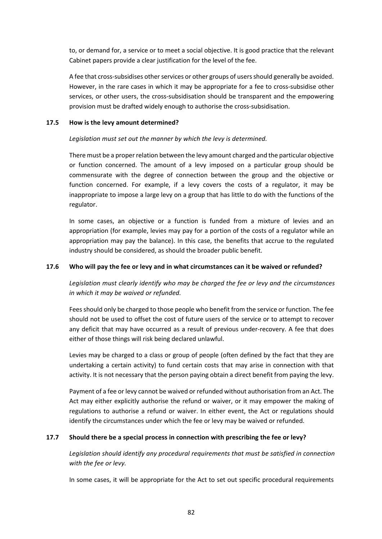to, or demand for, a service or to meet a social objective. It is good practice that the relevant Cabinet papers provide a clear justification for the level of the fee.

A fee that cross-subsidises other services or other groups of users should generally be avoided. However, in the rare cases in which it may be appropriate for a fee to cross-subsidise other services, or other users, the cross-subsidisation should be transparent and the empowering provision must be drafted widely enough to authorise the cross-subsidisation.

#### **17.5 How is the levy amount determined?**

#### *Legislation must set out the manner by which the levy is determined.*

There must be a properrelation between the levy amount charged and the particular objective or function concerned. The amount of a levy imposed on a particular group should be commensurate with the degree of connection between the group and the objective or function concerned. For example, if a levy covers the costs of a regulator, it may be inappropriate to impose a large levy on a group that has little to do with the functions of the regulator.

In some cases, an objective or a function is funded from a mixture of levies and an appropriation (for example, levies may pay for a portion of the costs of a regulator while an appropriation may pay the balance). In this case, the benefits that accrue to the regulated industry should be considered, as should the broader public benefit.

#### **17.6 Who will pay the fee or levy and in what circumstances can it be waived or refunded?**

*Legislation must clearly identify who may be charged the fee or levy and the circumstances in which it may be waived or refunded.*

Fees should only be charged to those people who benefit from the service or function. The fee should not be used to offset the cost of future users of the service or to attempt to recover any deficit that may have occurred as a result of previous under‐recovery. A fee that does either of those things will risk being declared unlawful.

Levies may be charged to a class or group of people (often defined by the fact that they are undertaking a certain activity) to fund certain costs that may arise in connection with that activity. It is not necessary that the person paying obtain a direct benefit from paying the levy.

Payment of a fee or levy cannot be waived or refunded without authorisation from an Act. The Act may either explicitly authorise the refund or waiver, or it may empower the making of regulations to authorise a refund or waiver. In either event, the Act or regulations should identify the circumstances under which the fee or levy may be waived or refunded.

#### **17.7 Should there be a special process in connection with prescribing the fee or levy?**

*Legislation should identify any procedural requirements that must be satisfied in connection with the fee or levy.*

In some cases, it will be appropriate for the Act to set out specific procedural requirements